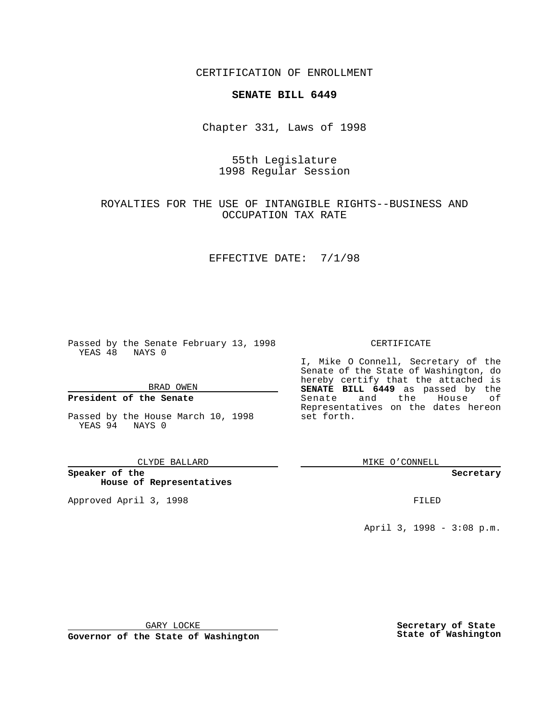CERTIFICATION OF ENROLLMENT

## **SENATE BILL 6449**

Chapter 331, Laws of 1998

# 55th Legislature 1998 Regular Session

# ROYALTIES FOR THE USE OF INTANGIBLE RIGHTS--BUSINESS AND OCCUPATION TAX RATE

### EFFECTIVE DATE: 7/1/98

Passed by the Senate February 13, 1998 YEAS 48 NAYS 0

BRAD OWEN

## **President of the Senate**

Passed by the House March 10, 1998 YEAS 94 NAYS 0

CLYDE BALLARD

**Speaker of the House of Representatives**

Approved April 3, 1998 **FILED** 

## CERTIFICATE

I, Mike O Connell, Secretary of the Senate of the State of Washington, do hereby certify that the attached is **SENATE BILL 6449** as passed by the Senate and the House of Representatives on the dates hereon set forth.

MIKE O'CONNELL

#### **Secretary**

April 3, 1998 - 3:08 p.m.

GARY LOCKE

**Governor of the State of Washington**

**Secretary of State State of Washington**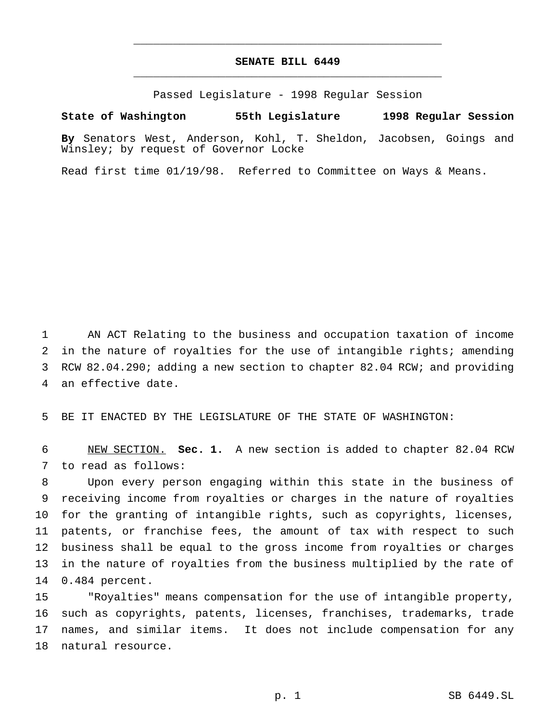# **SENATE BILL 6449** \_\_\_\_\_\_\_\_\_\_\_\_\_\_\_\_\_\_\_\_\_\_\_\_\_\_\_\_\_\_\_\_\_\_\_\_\_\_\_\_\_\_\_\_\_\_\_

\_\_\_\_\_\_\_\_\_\_\_\_\_\_\_\_\_\_\_\_\_\_\_\_\_\_\_\_\_\_\_\_\_\_\_\_\_\_\_\_\_\_\_\_\_\_\_

Passed Legislature - 1998 Regular Session

### **State of Washington 55th Legislature 1998 Regular Session**

**By** Senators West, Anderson, Kohl, T. Sheldon, Jacobsen, Goings and Winsley; by request of Governor Locke

Read first time 01/19/98. Referred to Committee on Ways & Means.

 AN ACT Relating to the business and occupation taxation of income in the nature of royalties for the use of intangible rights; amending RCW 82.04.290; adding a new section to chapter 82.04 RCW; and providing an effective date.

BE IT ENACTED BY THE LEGISLATURE OF THE STATE OF WASHINGTON:

 NEW SECTION. **Sec. 1.** A new section is added to chapter 82.04 RCW to read as follows:

 Upon every person engaging within this state in the business of receiving income from royalties or charges in the nature of royalties for the granting of intangible rights, such as copyrights, licenses, patents, or franchise fees, the amount of tax with respect to such business shall be equal to the gross income from royalties or charges in the nature of royalties from the business multiplied by the rate of 0.484 percent.

 "Royalties" means compensation for the use of intangible property, such as copyrights, patents, licenses, franchises, trademarks, trade names, and similar items. It does not include compensation for any natural resource.